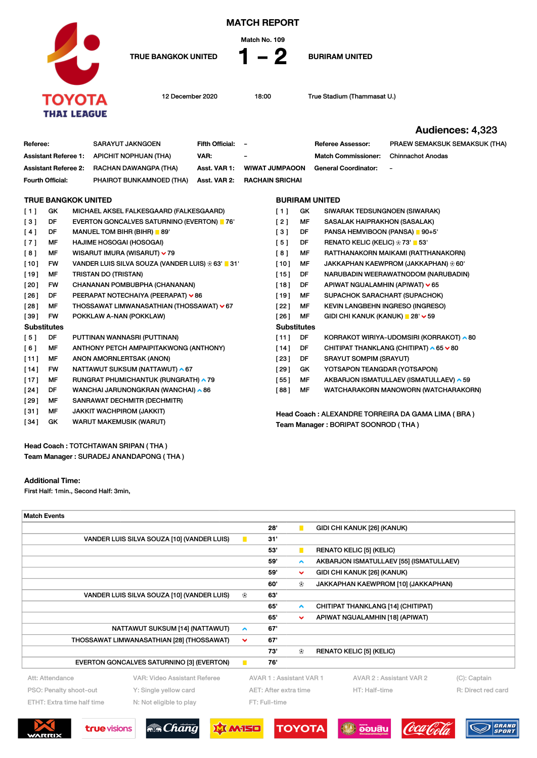

MATCH REPORT

Match No. 109

Referee: SARAYUT JAKNGOEN Fifth Official: - Referee Assessor: PRAEW SEMAKSUK SEMAKSUK (THA)

TRUE BANGKOK UNITED 1 - 2 BURIRAM UNITED

12 December 2020 18:00 True Stadium (Thammasat U.)

Audiences: 4,323

TRUE BANGKOK UNITED [ 1 ] GK MICHAEL AKSEL FALKESGAARD (FALKESGAARD) [ 3 ] DF EVERTON GONCALVES SATURNINO (EVERTON) 76' [4] DF MANUEL TOM BIHR (BIHR) 89' [ 7 ] MF HAJIME HOSOGAI (HOSOGAI) [ 8 ] MF WISARUT IMURA (WISARUT)  $\vee$  79 [10] FW VANDER LUIS SILVA SOUZA (VANDER LUIS)  $\oplus$  63' 31' [19] MF TRISTAN DO (TRISTAN) [20] FW CHANANAN POMBUBPHA (CHANANAN) [26] DF PEERAPAT NOTECHAIYA (PEERAPAT)  $\vee$  86 [28] MF THOSSAWAT LIMWANASATHIAN (THOSSAWAT)  $\sqrt{67}$ [39] FW POKKLAW A-NAN (POKKLAW) **Substitutes** [5] DF PUTTINAN WANNASRI (PUTTINAN) [ 6 ] MF ANTHONY PETCH AMPAIPITAKWONG (ANTHONY) BURIRAM UNITED [1] GK SIWARAK TEDSUNGNOEN (SIWARAK) [ 2 ] MF SASALAK HAIPRAKHON (SASALAK) [ 3 ] DF PANSA HEMVIBOON (PANSA) 90+5' [ 5 ] DF RENATO KELIC (KELIC)  $\otimes$  73' 53' [ 8 ] MF RATTHANAKORN MAIKAMI (RATTHANAKORN) [10] MF JAKKAPHAN KAEWPROM (JAKKAPHAN)  $\otimes$  60' [15] DF NARUBADIN WEERAWATNODOM (NARUBADIN) [18] DF APIWAT NGUALAMHIN (APIWAT)  $\vee$  65 [19] MF SUPACHOK SARACHART (SUPACHOK) [22] MF KEVIN LANGBEHN INGRESO (INGRESO)  $[26]$  MF GIDI CHI KANUK (KANUK) 28'  $\vee$  59 **Substitutes** [11] DF KORRAKOT WIRIYA-UDOMSIRI (KORRAKOT) ^80 [14] DF CHITIPAT THANKLANG (CHITIPAT)  $\sim 65 \times 80$ Assistant Referee 1: APICHIT NOPHUAN (THA) VAR: - - Match Commissioner: Chinnachot Anodas Assistant Referee 2: RACHAN DAWANGPA (THA) Asst. VAR 1: WIWAT JUMPAOON General Coordinator: - Fourth Official: PHAIROT BUNKAMNOED (THA) Asst. VAR 2: RACHAIN SRICHAI

- [11] MF ANON AMORNLERTSAK (ANON) [14] FW NATTAWUT SUKSUM (NATTAWUT) ^67 [17] MF RUNGRAT PHUMICHANTUK (RUNGRATH) ^79 [24] DF WANCHAI JARUNONGKRAN (WANCHAI) ^86 [ 29 ] MF SANRAWAT DECHMITR (DECHMITR) [ 31 ] MF JAKKIT WACHPIROM (JAKKIT) [34] GK WARUT MAKEMUSIK (WARUT)
- [23] DF SRAYUT SOMPIM (SRAYUT) [29] GK YOTSAPON TEANGDAR (YOTSAPON)
- [55] MF AKBARJON ISMATULLAEV (ISMATULLAEV) ^ 59 [ 88 ] MF WATCHARAKORN MANOWORN (WATCHARAKORN)

Head Coach : ALEXANDRE TORREIRA DA GAMA LIMA ( BRA ) Team Manager : BORIPAT SOONROD ( THA )

Head Coach : TOTCHTAWAN SRIPAN ( THA ) Team Manager : SURADEJ ANANDAPONG ( THA )

## Additional Time:

First Half: 1min., Second Half: 3min,

| <b>Match Events</b>                       |                                            |                       |     |                         |  |                                         |                    |
|-------------------------------------------|--------------------------------------------|-----------------------|-----|-------------------------|--|-----------------------------------------|--------------------|
|                                           |                                            |                       | 28' | П                       |  | GIDI CHI KANUK [26] (KANUK)             |                    |
|                                           | VANDER LUIS SILVA SOUZA [10] (VANDER LUIS) | $\blacksquare$        | 31' |                         |  |                                         |                    |
|                                           |                                            |                       | 53' | п                       |  | <b>RENATO KELIC [5] (KELIC)</b>         |                    |
|                                           |                                            |                       | 59' | $\hat{\phantom{a}}$     |  | AKBARJON ISMATULLAEV [55] (ISMATULLAEV) |                    |
|                                           |                                            |                       | 59' | $\checkmark$            |  | GIDI CHI KANUK [26] (KANUK)             |                    |
|                                           |                                            |                       | 60' | ⊛                       |  | JAKKAPHAN KAEWPROM [10] (JAKKAPHAN)     |                    |
|                                           | VANDER LUIS SILVA SOUZA [10] (VANDER LUIS) | ⊕                     | 63' |                         |  |                                         |                    |
|                                           |                                            |                       | 65' | $\blacktriangle$        |  | CHITIPAT THANKLANG [14] (CHITIPAT)      |                    |
|                                           |                                            |                       | 65' | $\checkmark$            |  | APIWAT NGUALAMHIN [18] (APIWAT)         |                    |
|                                           | NATTAWUT SUKSUM [14] (NATTAWUT)            | ∧                     | 67' |                         |  |                                         |                    |
| THOSSAWAT LIMWANASATHIAN [28] (THOSSAWAT) |                                            | $\checkmark$          | 67' |                         |  |                                         |                    |
|                                           |                                            |                       | 73' | ⊛                       |  | <b>RENATO KELIC [5] (KELIC)</b>         |                    |
|                                           | EVERTON GONCALVES SATURNINO [3] (EVERTON)  | п                     | 76' |                         |  |                                         |                    |
| Att: Attendance                           | VAR: Video Assistant Referee               |                       |     | AVAR 1: Assistant VAR 1 |  | AVAR 2 : Assistant VAR 2                | (C): Captain       |
| PSO: Penalty shoot-out                    | Y: Single yellow card                      | AET: After extra time |     |                         |  | HT: Half-time                           | R: Direct red card |
| ETHT: Extra time half time                | N: Not eligible to play                    | FT: Full-time         |     |                         |  |                                         |                    |